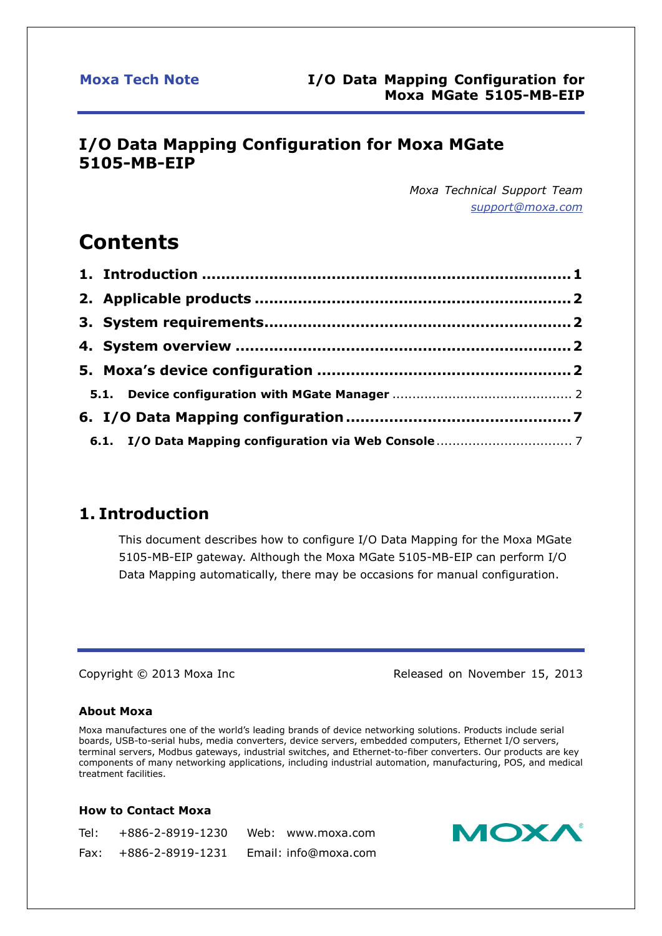## **I/O Data Mapping Configuration for Moxa MGate 5105-MB-EIP**

*Moxa Technical Support Team [support@moxa.com](mailto:support@moxa.com)*

# **Contents**

## <span id="page-0-0"></span>**1. Introduction**

This document describes how to configure I/O Data Mapping for the Moxa MGate 5105-MB-EIP gateway. Although the Moxa MGate 5105-MB-EIP can perform I/O Data Mapping automatically, there may be occasions for manual configuration.

Copyright © 2013 Moxa Inc Released on November 15, 2013

### **About Moxa**

Moxa manufactures one of the world's leading brands of device networking solutions. Products include serial boards, USB-to-serial hubs, media converters, device servers, embedded computers, Ethernet I/O servers, terminal servers, Modbus gateways, industrial switches, and Ethernet-to-fiber converters. Our products are key components of many networking applications, including industrial automation, manufacturing, POS, and medical treatment facilities.

### **How to Contact Moxa**

Tel: +886-2-8919-1230 Fax: +886-2-8919-1231 Email: info@moxa.com Web: www.moxa.com

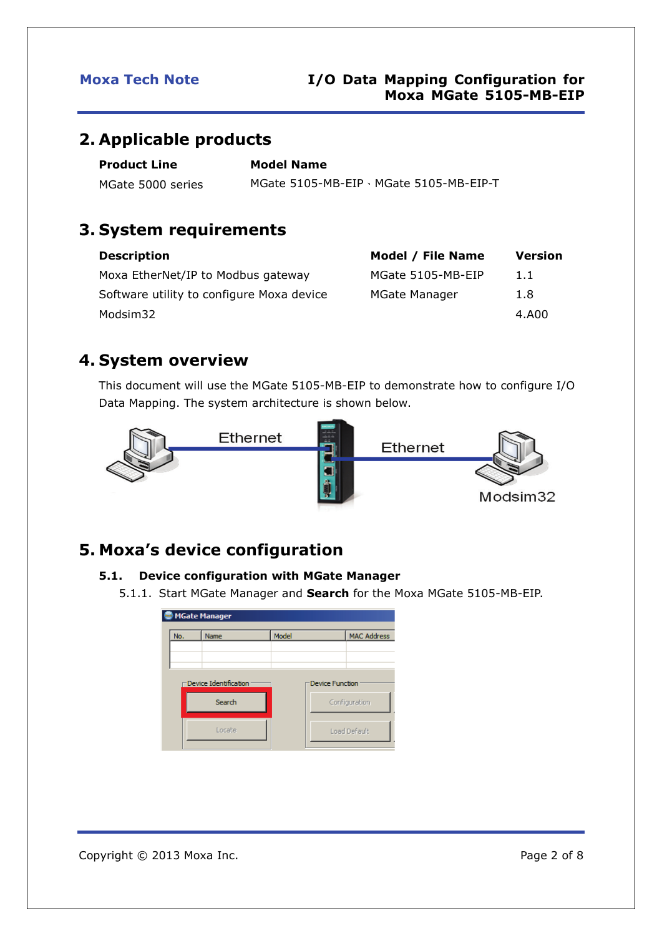## <span id="page-1-0"></span>**2. Applicable products**

| <b>Product Line</b> | <b>Model Name</b>                       |
|---------------------|-----------------------------------------|
| MGate 5000 series   | MGate 5105-MB-EIP \ MGate 5105-MB-EIP-T |

## <span id="page-1-1"></span>**3. System requirements**

| <b>Description</b>                        | Model / File Name    | <b>Version</b> |
|-------------------------------------------|----------------------|----------------|
| Moxa EtherNet/IP to Modbus gateway        | MGate 5105-MB-EIP    | 1.1            |
| Software utility to configure Moxa device | <b>MGate Manager</b> | 1.8            |
| Modsim32                                  |                      | 4.A00          |

## <span id="page-1-2"></span>**4. System overview**

This document will use the MGate 5105-MB-EIP to demonstrate how to configure I/O Data Mapping. The system architecture is shown below.



## <span id="page-1-3"></span>**5. Moxa's device configuration**

### <span id="page-1-4"></span>**5.1. Device configuration with MGate Manager**

5.1.1. Start MGate Manager and **Search** for the Moxa MGate 5105-MB-EIP.

|     | <b>MGate Manager</b>            |       |                        |                    |  |
|-----|---------------------------------|-------|------------------------|--------------------|--|
| No. | Name                            | Model |                        | <b>MAC Address</b> |  |
|     |                                 |       |                        |                    |  |
|     |                                 |       |                        |                    |  |
|     | Device Identification<br>Search |       | <b>Device Function</b> | Configuration      |  |
|     |                                 |       |                        |                    |  |
|     |                                 |       |                        |                    |  |
|     | Locate                          |       |                        | Load Default       |  |
|     |                                 |       |                        |                    |  |

Copyright © 2013 Moxa Inc. example 2 of 8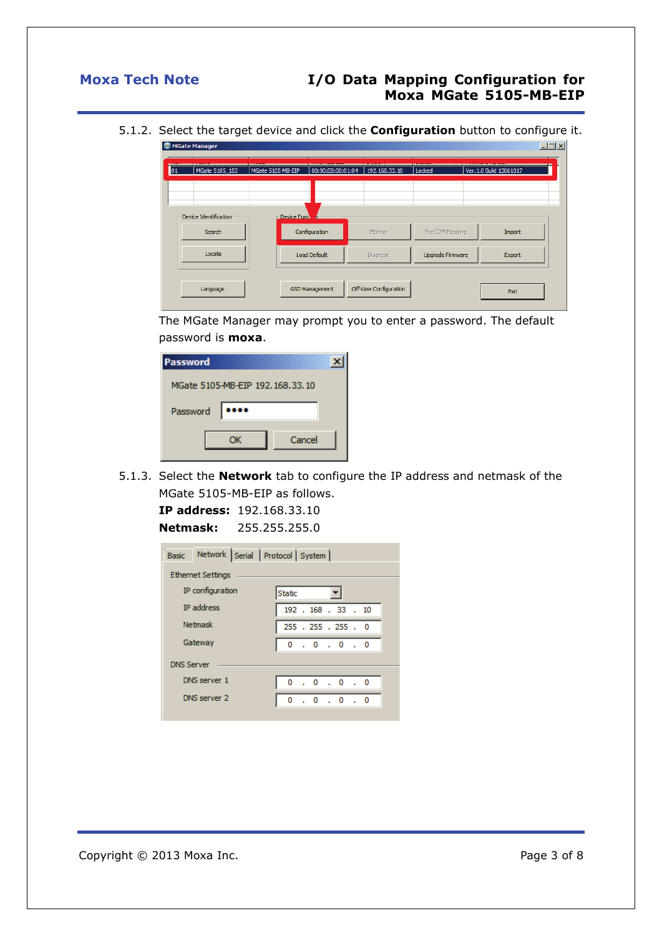5.1.2. Select the target device and click the **Configuration** button to configure it.

|                 | MGate Manager         |                   |                       |                        |                         |                         | $\Box$ |
|-----------------|-----------------------|-------------------|-----------------------|------------------------|-------------------------|-------------------------|--------|
| $\overline{01}$ | MGate 5105 153        | MGate 5105-MB-EIP | 00:90:E8:00:01:04     | 192, 168, 33, 10       | Locked                  | Ver. 1.0 Build 13061017 |        |
|                 |                       |                   |                       |                        |                         |                         |        |
|                 | Device Identification | Device Fund n=    |                       |                        |                         |                         |        |
|                 | Search                |                   | Configuration         | Monitor                | ProCOM Mapping          | Import                  |        |
|                 | Locate                |                   | <b>Load Default</b>   | <b>Diagnose</b>        | <b>Upgrade Firmware</b> | Export                  |        |
|                 |                       |                   |                       |                        |                         |                         |        |
|                 | Language              |                   | <b>GSD Management</b> | Off-Line Configuration |                         | Exit                    |        |

The MGate Manager may prompt you to enter a password. The default password is **moxa**.

| Password                        |  |
|---------------------------------|--|
| MGate 5105-MB-EIP 192.168.33.10 |  |
| Password<br>                    |  |
| Cancel<br>ОΚ                    |  |

5.1.3. Select the **Network** tab to configure the IP address and netmask of the MGate 5105-MB-EIP as follows.

|          | <b>IP address:</b> $192.168.33.10$ |
|----------|------------------------------------|
| Netmask: | 255.255.255.0                      |

|                   |                   | Basic Network Serial Protocol System |                     |                               |  |  |  |
|-------------------|-------------------|--------------------------------------|---------------------|-------------------------------|--|--|--|
|                   | Ethernet Settings |                                      |                     |                               |  |  |  |
|                   | IP configuration  |                                      | Static              |                               |  |  |  |
|                   | <b>IP</b> address |                                      |                     | 192 . 168 . 33 . 10           |  |  |  |
|                   | <b>Netmask</b>    |                                      | 255 . 255 . 255 . 0 |                               |  |  |  |
|                   | Gateway           |                                      |                     | 0.0.0.0                       |  |  |  |
| <b>DNS Server</b> |                   |                                      |                     |                               |  |  |  |
|                   | DNS server 1      |                                      |                     | 0.0.0.0                       |  |  |  |
|                   | DNS server 2      |                                      | 0                   | $\cdot$ 0 $\cdot$ 0 $\cdot$ 0 |  |  |  |
|                   |                   |                                      |                     |                               |  |  |  |

Copyright © 2013 Moxa Inc. extending the Copyright C 2013 Moxa Inc.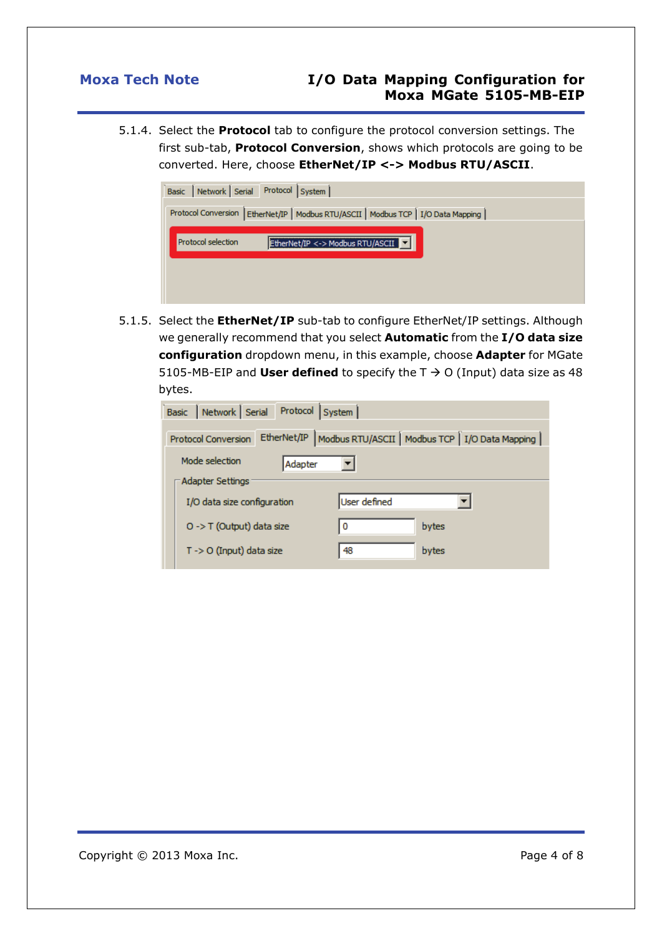5.1.4. Select the **Protocol** tab to configure the protocol conversion settings. The first sub-tab, **Protocol Conversion**, shows which protocols are going to be converted. Here, choose **EtherNet/IP <-> Modbus RTU/ASCII**.



5.1.5. Select the **EtherNet/IP** sub-tab to configure EtherNet/IP settings. Although we generally recommend that you select **Automatic** from the **I/O data size configuration** dropdown menu, in this example, choose **Adapter** for MGate 5105-MB-EIP and **User defined** to specify the  $T \rightarrow O$  (Input) data size as 48 bytes.

| Modbus RTU/ASCII   Modbus TCP   I/O Data Mapping |
|--------------------------------------------------|
|                                                  |
|                                                  |
|                                                  |
|                                                  |
|                                                  |
|                                                  |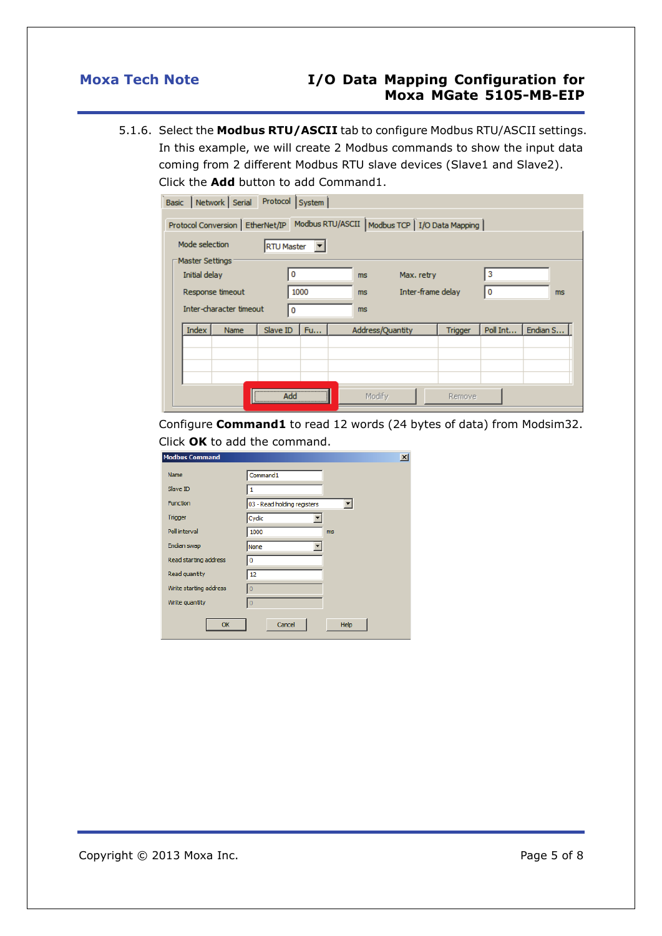5.1.6. Select the **Modbus RTU/ASCII** tab to configure Modbus RTU/ASCII settings. In this example, we will create 2 Modbus commands to show the input data coming from 2 different Modbus RTU slave devices (Slave1 and Slave2). Click the **Add** button to add Command1.

Basic Network Serial Protocol System

| Dasic   NEUWOLK   JEHal   Hotocol   Jystelli  <br>Protocol Conversion   EtherNet/IP   Modbus RTU/ASCII   Modbus TCP   I/O Data Mapping  <br>Mode selection<br><b>RTU Master</b> |             |          |           |                  |                |          |          |
|---------------------------------------------------------------------------------------------------------------------------------------------------------------------------------|-------------|----------|-----------|------------------|----------------|----------|----------|
| Master Settings<br>3<br>Initial delay<br>Max. retry<br>0<br>ms.<br>1000<br>Inter-frame delay<br>0<br>Response timeout<br>ms.<br>ms<br>Inter-character timeout<br>ms.<br>0       |             |          |           |                  |                |          |          |
| Index                                                                                                                                                                           | <b>Name</b> | Slave ID | <b>Fu</b> | Address/Quantity | <b>Trigger</b> | Poll Int | Endian S |
|                                                                                                                                                                                 |             | Add      |           | Modify           | Remove         |          |          |

Configure **Command1** to read 12 words (24 bytes of data) from Modsim32. Click **OK** to add the command.

| <b>Modbus Command</b>  |                             | $\vert x \vert$ |
|------------------------|-----------------------------|-----------------|
| <b>Name</b>            | Command1                    |                 |
| Slave ID               |                             |                 |
| <b>Function</b>        | 03 - Read holding registers |                 |
| <b>Trigger</b>         | Cyclic                      |                 |
| Poll interval          | 1000                        | <b>ms</b>       |
| Endian swap            | None                        |                 |
| Read starting address  | 0                           |                 |
| Read quantity          | 12                          |                 |
| Write starting address | $\overline{0}$              |                 |
| Write quantity         | $\overline{0}$              |                 |
| OK                     | Cancel                      | Help            |

Copyright © 2013 Moxa Inc. extending the Copyright C 2013 Moxa Inc.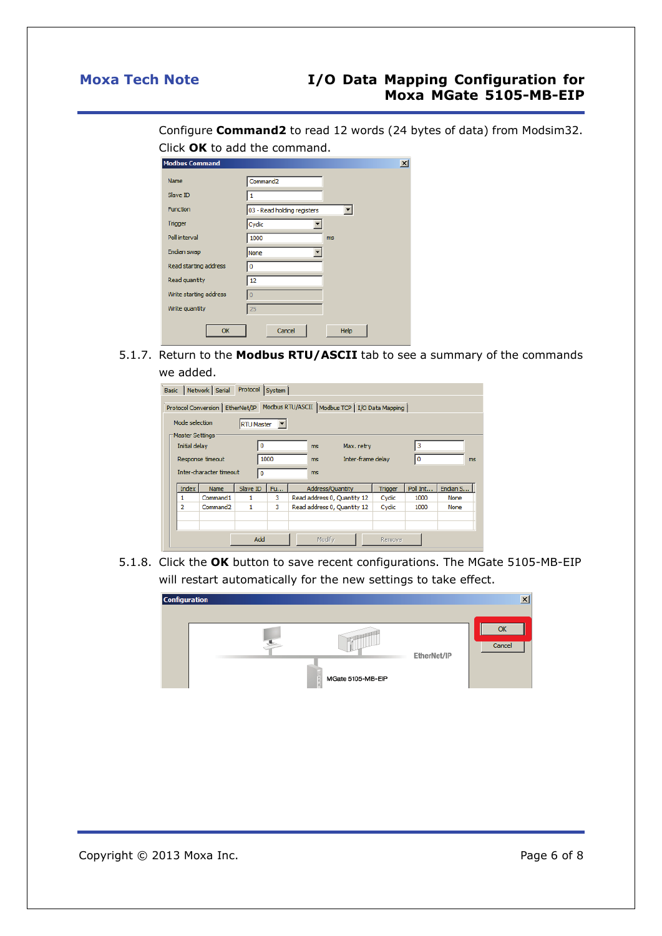Configure **Command2** to read 12 words (24 bytes of data) from Modsim32. Click **OK** to add the command.

| <b>Modbus Command</b>  |                             | $\vert x \vert$ |
|------------------------|-----------------------------|-----------------|
| <b>Name</b>            | Command <sub>2</sub>        |                 |
| Slave ID               | 1                           |                 |
| <b>Function</b>        | 03 - Read holding registers |                 |
| <b>Trigger</b>         | Cyclic                      |                 |
| Poll interval          | 1000                        | <b>ms</b>       |
| Endian swap            | None                        |                 |
| Read starting address  | 0                           |                 |
| Read quantity          | 12                          |                 |
| Write starting address | $\overline{0}$              |                 |
| Write quantity         | 25                          |                 |
| OK                     | Cancel                      | Help            |

5.1.7. Return to the **Modbus RTU/ASCII** tab to see a summary of the commands we added.

|                                     |                                  | Basic   Network   Serial<br>Protocol Conversion   EtherNet/IP | Protocol | System |                             |                  |                   | Modbus RTU/ASCII   Modbus TCP   I/O Data Mapping |          |          |  |
|-------------------------------------|----------------------------------|---------------------------------------------------------------|----------|--------|-----------------------------|------------------|-------------------|--------------------------------------------------|----------|----------|--|
| Mode selection<br><b>RTU Master</b> |                                  |                                                               |          |        |                             |                  |                   |                                                  |          |          |  |
|                                     | Master Settings<br>Initial delay |                                                               | 0        |        |                             | ms               | Max. retry        |                                                  |          | з        |  |
|                                     | Response timeout                 |                                                               |          | 1000   |                             | ms               | Inter-frame delay |                                                  | 0        | ms       |  |
|                                     |                                  | Inter-character timeout                                       | 0        |        |                             | ms               |                   |                                                  |          |          |  |
|                                     | Index                            | <b>Name</b>                                                   | Slave ID | Fu     |                             | Address/Quantity |                   | <b>Trigger</b>                                   | Poll Int | Endian S |  |
|                                     | 1                                | Command1                                                      | 1        | 3      | Read address 0, Quantity 12 |                  | Cyclic            | 1000                                             | None     |          |  |
|                                     | 2                                | Command <sub>2</sub>                                          | 1        | 3      | Read address 0, Quantity 12 |                  |                   | Cyclic                                           | 1000     | None     |  |
|                                     |                                  |                                                               |          |        |                             |                  |                   |                                                  |          |          |  |
|                                     | Add                              |                                                               |          |        |                             |                  |                   |                                                  |          |          |  |

5.1.8. Click the **OK** button to save recent configurations. The MGate 5105-MB-EIP will restart automatically for the new settings to take effect.

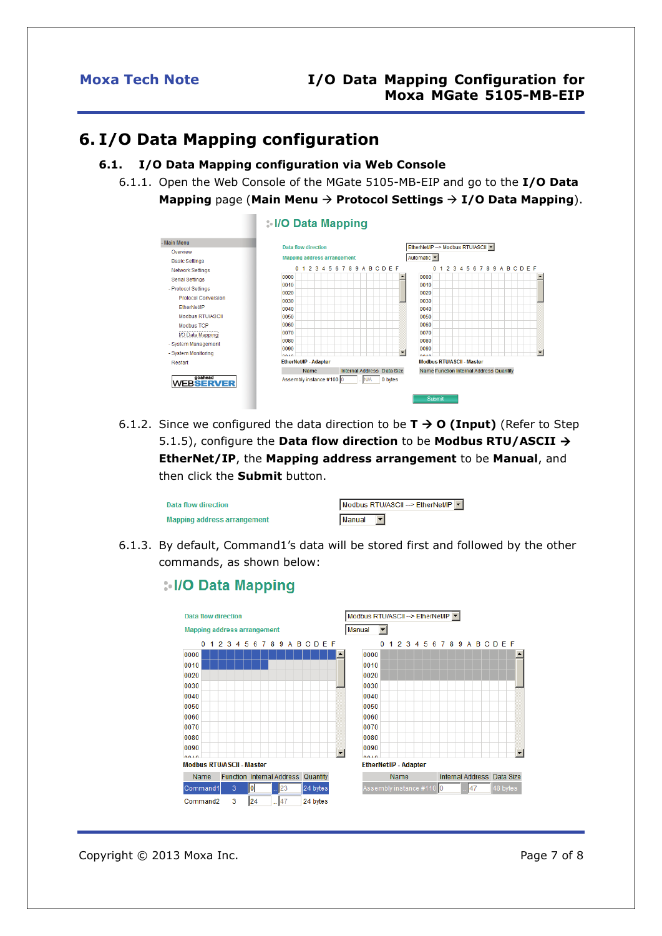## <span id="page-6-0"></span>**6. I/O Data Mapping configuration**

### <span id="page-6-1"></span>**6.1. I/O Data Mapping configuration via Web Console**

6.1.1. Open the Web Console of the MGate 5105-MB-EIP and go to the **I/O Data** 





6.1.2. Since we configured the data direction to be  $T \rightarrow O$  (Input) (Refer to Step 5.1.5), configure the **Data flow direction** to be **Modbus RTU/ASCII EtherNet/IP**, the **Mapping address arrangement** to be **Manual**, and then click the **Submit** button.

| Data flow direction                | Modbus RTU/ASCII --> EtherNet/IP V |
|------------------------------------|------------------------------------|
| <b>Mapping address arrangement</b> | l Manual                           |

6.1.3. By default, Command1's data will be stored first and followed by the other commands, as shown below:

### : I/O Data Mapping



Copyright © 2013 Moxa Inc. **Page 7 of 8** Copyright © 2013 Moxa Inc.